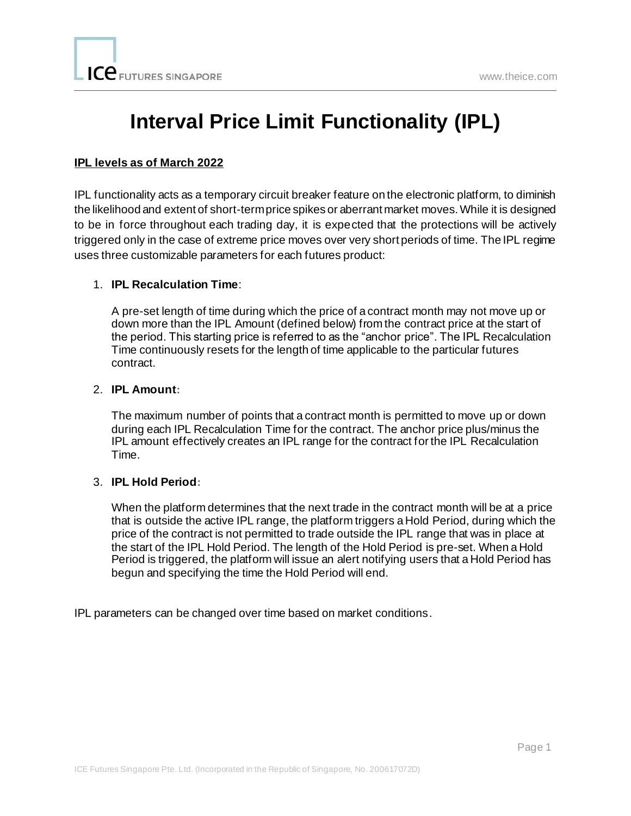# **Interval Price Limit Functionality (IPL)**

#### **IPL levels as of March 2022**

IPL functionality acts as a temporary circuit breaker feature on the electronic platform, to diminish the likelihood and extent of short-term price spikes or aberrant market moves. While it is designed to be in force throughout each trading day, it is expected that the protections will be actively triggered only in the case of extreme price moves over very short periods of time. The IPL regime uses three customizable parameters for each futures product:

#### 1. **IPL Recalculation Time**:

A pre-set length of time during which the price of a contract month may not move up or down more than the IPL Amount (defined below) from the contract price at the start of the period. This starting price is referred to as the "anchor price". The IPL Recalculation Time continuously resets for the length of time applicable to the particular futures contract.

#### 2. **IPL Amount:**

The maximum number of points that a contract month is permitted to move up or down during each IPL Recalculation Time for the contract. The anchor price plus/minus the IPL amount effectively creates an IPL range for the contract for the IPL Recalculation Time.

#### 3. **IPL Hold Period:**

When the platform determines that the next trade in the contract month will be at a price that is outside the active IPL range, the platform triggers a Hold Period, during which the price of the contract is not permitted to trade outside the IPL range that was in place at the start of the IPL Hold Period. The length of the Hold Period is pre-set. When a Hold Period is triggered, the platform will issue an alert notifying users that a Hold Period has begun and specifying the time the Hold Period will end.

IPL parameters can be changed over time based on market conditions.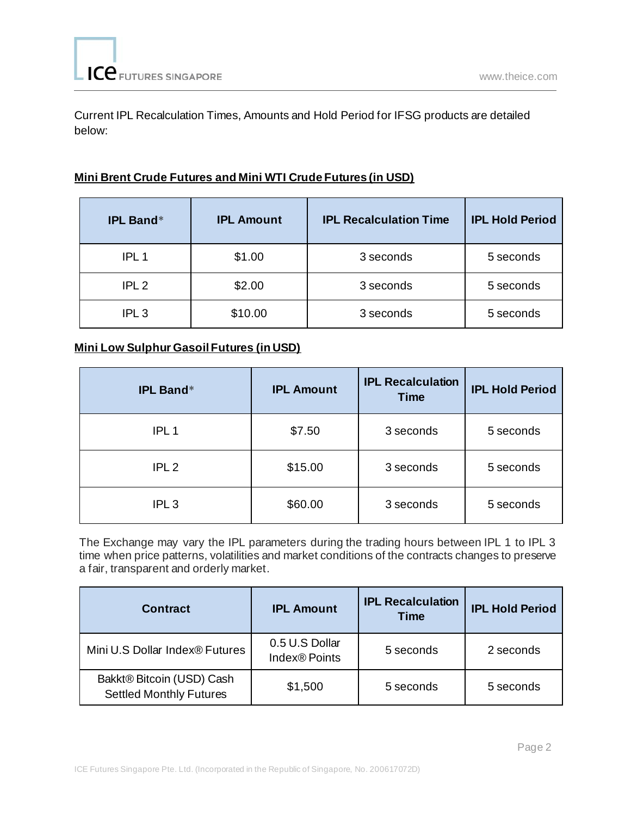Current IPL Recalculation Times, Amounts and Hold Period for IFSG products are detailed below:

### **Mini Brent Crude Futures and Mini WTI Crude Futures (in USD)**

| <b>IPL Band*</b> | <b>IPL Amount</b> | <b>IPL Recalculation Time</b> | <b>IPL Hold Period</b> |
|------------------|-------------------|-------------------------------|------------------------|
| IPL <sub>1</sub> | \$1.00            | 3 seconds                     | 5 seconds              |
| IPL2             | \$2.00            | 3 seconds                     | 5 seconds              |
| IPL <sub>3</sub> | \$10.00           | 3 seconds                     | 5 seconds              |

## **Mini Low Sulphur Gasoil Futures (in USD)**

| <b>IPL Band*</b> | <b>IPL Amount</b> | <b>IPL Recalculation</b><br><b>Time</b> | <b>IPL Hold Period</b> |
|------------------|-------------------|-----------------------------------------|------------------------|
| IPL <sub>1</sub> | \$7.50            | 3 seconds                               | 5 seconds              |
| IPL <sub>2</sub> | \$15.00           | 3 seconds                               | 5 seconds              |
| IPL <sub>3</sub> | \$60.00           | 3 seconds                               | 5 seconds              |

The Exchange may vary the IPL parameters during the trading hours between IPL 1 to IPL 3 time when price patterns, volatilities and market conditions of the contracts changes to preserve a fair, transparent and orderly market.

| <b>Contract</b>                                             | <b>IPL Amount</b>                           | <b>IPL Recalculation</b><br><b>Time</b> | <b>IPL Hold Period</b> |
|-------------------------------------------------------------|---------------------------------------------|-----------------------------------------|------------------------|
| Mini U.S Dollar Index® Futures                              | 0.5 U.S Dollar<br>Index <sup>®</sup> Points | 5 seconds                               | 2 seconds              |
| Bakkt® Bitcoin (USD) Cash<br><b>Settled Monthly Futures</b> | \$1,500                                     | 5 seconds                               | 5 seconds              |